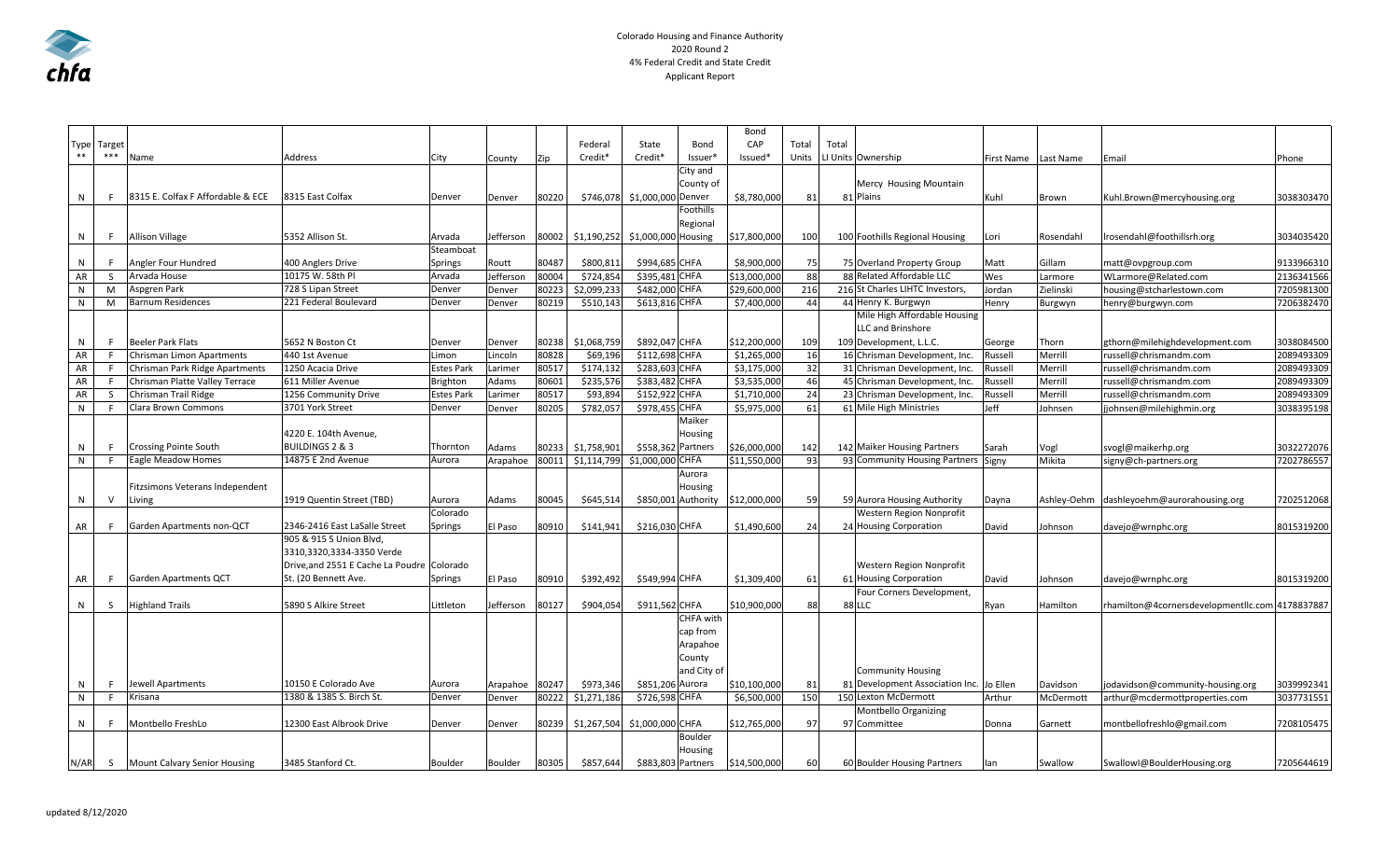

## Colorado Housing and Finance Authority 2020 Round 2 4% Federal Credit and State Credit Applicant Report

|            |              |                                     |                                            |            |           |       |             |                     |             | Bond                             |       |       |                                                             |                      |           |                                                 |            |
|------------|--------------|-------------------------------------|--------------------------------------------|------------|-----------|-------|-------------|---------------------|-------------|----------------------------------|-------|-------|-------------------------------------------------------------|----------------------|-----------|-------------------------------------------------|------------|
|            | Type Target  |                                     |                                            |            |           |       | Federal     | State               | Bond        | CAP                              | Total | Total |                                                             |                      |           |                                                 |            |
| $\ast\ast$ | $***$        | Name                                | Address                                    | City       | County    | Zip   | Credit*     | Credit*             | Issuer'     | Issued*                          | Units |       | LI Units Ownership                                          | First Name Last Name |           | Email                                           | Phone      |
|            |              |                                     |                                            |            |           |       |             |                     | City and    |                                  |       |       |                                                             |                      |           |                                                 |            |
|            |              |                                     |                                            |            |           |       |             |                     | County of   |                                  |       |       | Mercy Housing Mountain                                      |                      |           |                                                 |            |
| N          |              | 8315 E. Colfax F Affordable & ECE   | 8315 East Colfax                           | Denver     | Denver    | 80220 | \$746,07    | \$1,000,000 Denver  |             | \$8,780,000                      | 81    |       | 81 Plains                                                   | Kuhl                 | Brown     | Kuhl.Brown@mercyhousing.org                     | 3038303470 |
|            |              |                                     |                                            |            |           |       |             |                     | Foothills   |                                  |       |       |                                                             |                      |           |                                                 |            |
|            |              |                                     |                                            |            |           |       |             |                     | Regional    |                                  |       |       |                                                             |                      |           |                                                 |            |
| N          |              | <b>Allison Village</b>              | 5352 Allison St.                           | Arvada     | Jefferson | 80002 | \$1,190,252 | \$1,000,000 Housing |             | \$17,800,000                     | 100   |       | 100 Foothills Regional Housing                              | Lori                 | Rosendahl | Irosendahl@foothillsrh.org                      | 3034035420 |
|            |              |                                     |                                            | Steamboat  |           |       |             |                     |             |                                  |       |       |                                                             |                      |           |                                                 |            |
| N          |              | Angler Four Hundred                 | 400 Anglers Drive                          | Springs    | Routt     | 80487 | \$800,811   | \$994,685 CHFA      |             | \$8,900,000                      | 75    |       | 75 Overland Property Group                                  | Matt                 | Gillam    | matt@ovpgroup.com                               | 9133966310 |
| AR         | -S           | Arvada House                        | 10175 W. 58th Pl                           | Arvada     | Jefferson | 80004 | \$724,854   | \$395,481 CHFA      |             | \$13,000,000                     | 88    |       | 88 Related Affordable LLC                                   | Wes                  | Larmore   | WLarmore@Related.com                            | 2136341566 |
| N          | M            | Aspgren Park                        | 728 S Lipan Street                         | Denver     | Denver    | 80223 | \$2,099,233 | \$482,000 CHFA      |             | \$29,600,000                     | 216   |       | 216 St Charles LIHTC Investors                              | Jordan               | Zielinski | housing@stcharlestown.com                       | 7205981300 |
| N          | M            | <b>Barnum Residences</b>            | 221 Federal Boulevard                      | Denver     | Denver    | 80219 | \$510,143   | \$613,816 CHFA      |             | \$7,400,000                      | 44    |       | 44 Henry K. Burgwyn                                         | Henry                | Burgwyn   | henry@burgwyn.com                               | 7206382470 |
|            |              |                                     |                                            |            |           |       |             |                     |             |                                  |       |       | Mile High Affordable Housing                                |                      |           |                                                 |            |
|            |              |                                     |                                            |            |           |       |             |                     |             |                                  |       |       | <b>LLC and Brinshore</b>                                    |                      |           |                                                 |            |
| N          | -F           | <b>Beeler Park Flats</b>            | 5652 N Boston Ct                           | Denver     | Denver    | 80238 | \$1,068,759 | \$892,047 CHFA      |             | \$12,200,000                     | 109   |       | 109 Development, L.L.C.                                     | George               | Thorn     | gthorn@milehighdevelopment.com                  | 3038084500 |
| AR         |              | Chrisman Limon Apartments           | 440 1st Avenue                             | Limon      | Lincoln   | 80828 | \$69,196    | \$112,698 CHFA      |             | \$1,265,000                      | 16    |       | 16 Chrisman Development, Inc.                               | Russell              | Merrill   | russell@chrismandm.com                          | 2089493309 |
| AR         | -F           | Chrisman Park Ridge Apartments      | 1250 Acacia Drive                          | Estes Park | Larimer   | 80517 | \$174,13    | \$283,603 CHFA      |             | \$3,175,000                      | 32    |       | 31 Chrisman Development, Inc.                               | Russell              | Merrill   | russell@chrismandm.com                          | 2089493309 |
| AR         |              | Chrisman Platte Valley Terrace      | 611 Miller Avenue                          | Brighton   | Adams     | 80601 | \$235,576   | \$383,482 CHFA      |             | \$3,535,000                      | 46    |       | 45 Chrisman Development, Inc.                               | Russell              | Merrill   | russell@chrismandm.com                          | 2089493309 |
| AR         | S            | Chrisman Trail Ridge                | 1256 Community Drive                       | Estes Park | Larimer   | 80517 | \$93,894    | \$152,922 CHFA      |             | \$1,710,000                      | 24    |       | 23 Chrisman Development, Inc.                               | Russell              | Merrill   | russell@chrismandm.com                          | 2089493309 |
| N          | -F           | Clara Brown Commons                 | 3701 York Street                           | Denver     | Denver    | 80205 | \$782,057   | \$978,455 CHFA      |             | \$5,975,000                      | 61    |       | 61 Mile High Ministries                                     | Jeff                 | Johnsen   | jjohnsen@milehighmin.org                        | 3038395198 |
|            |              |                                     |                                            |            |           |       |             |                     | Maiker      |                                  |       |       |                                                             |                      |           |                                                 |            |
|            |              |                                     | 4220 E. 104th Avenue,                      |            |           |       |             |                     | Housing     |                                  |       |       |                                                             |                      |           |                                                 |            |
| N          |              | <b>Crossing Pointe South</b>        | <b>BUILDINGS 2 &amp; 3</b>                 | Thornton   | Adams     | 80233 | \$1,758,901 | \$558,362 Partners  |             | \$26,000,000                     | 142   |       | 142 Maiker Housing Partners                                 | Sarah                | Vogl      | svogl@maikerhp.org                              | 3032272076 |
| N          |              | <b>Eagle Meadow Homes</b>           | 14875 E 2nd Avenue                         | Aurora     | Arapahoe  | 80011 | \$1,114,799 | \$1,000,000 CHFA    |             | \$11,550,000                     | 93    |       | 93 Community Housing Partners Signy                         |                      | Mikita    | signy@ch-partners.org                           | 7202786557 |
|            |              |                                     |                                            |            |           |       |             |                     | Aurora      |                                  |       |       |                                                             |                      |           |                                                 |            |
|            |              | Fitzsimons Veterans Independent     |                                            |            |           |       |             |                     | Housing     |                                  |       |       |                                                             |                      |           |                                                 |            |
| N          | $\mathsf{v}$ | Living                              | 1919 Quentin Street (TBD)                  | Aurora     | Adams     | 80045 | \$645,514   |                     |             | \$850,001 Authority \$12,000,000 | 59    |       | 59 Aurora Housing Authority                                 | Dayna                |           | Ashley-Oehm dashleyoehm@aurorahousing.org       | 7202512068 |
|            |              |                                     |                                            | Colorado   |           |       |             |                     |             |                                  |       |       | Western Region Nonprofit                                    |                      |           |                                                 |            |
| AR         |              | Garden Apartments non-QCT           | 2346-2416 East LaSalle Street              | Springs    | El Paso   | 80910 | \$141,941   | \$216,030 CHFA      |             | \$1,490,600                      | 24    |       | 24 Housing Corporation                                      | David                | Johnson   | davejo@wrnphc.org                               | 8015319200 |
|            |              |                                     | 905 & 915 S Union Blvd,                    |            |           |       |             |                     |             |                                  |       |       |                                                             |                      |           |                                                 |            |
|            |              |                                     | 3310,3320,3334-3350 Verde                  |            |           |       |             |                     |             |                                  |       |       |                                                             |                      |           |                                                 |            |
|            |              |                                     | Drive, and 2551 E Cache La Poudre Colorado |            |           |       |             |                     |             |                                  |       |       | Western Region Nonprofit                                    |                      |           |                                                 |            |
| AR         |              | Garden Apartments QCT               | St. (20 Bennett Ave.                       | Springs    | El Paso   | 80910 | \$392,492   | \$549,994 CHFA      |             | \$1,309,400                      | 61    |       | 61 Housing Corporation                                      | David                | Johnson   | davejo@wrnphc.org                               | 8015319200 |
|            |              |                                     |                                            |            |           |       |             |                     |             |                                  |       |       | Four Corners Development,                                   |                      |           |                                                 |            |
| N          | -S           | <b>Highland Trails</b>              | 5890 S Alkire Street                       | Littleton  | Jefferson | 80127 | \$904,054   | \$911,562 CHFA      |             | \$10,900,000                     | 88    |       | 88 LLC                                                      | Ryan                 | Hamilton  | rhamilton@4cornersdevelopmentllc.com 4178837887 |            |
|            |              |                                     |                                            |            |           |       |             |                     | CHFA with   |                                  |       |       |                                                             |                      |           |                                                 |            |
|            |              |                                     |                                            |            |           |       |             |                     | cap from    |                                  |       |       |                                                             |                      |           |                                                 |            |
|            |              |                                     |                                            |            |           |       |             |                     | Arapahoe    |                                  |       |       |                                                             |                      |           |                                                 |            |
|            |              |                                     |                                            |            |           |       |             |                     |             |                                  |       |       |                                                             |                      |           |                                                 |            |
|            |              |                                     |                                            |            |           |       |             |                     | County      |                                  |       |       |                                                             |                      |           |                                                 |            |
|            |              | Jewell Apartments                   | 10150 E Colorado Ave                       |            |           | 80247 |             |                     | and City of |                                  |       |       | <b>Community Housing</b><br>81 Development Association Inc. | Jo Ellen             |           |                                                 | 3039992341 |
| N          |              |                                     |                                            | Aurora     | Arapahoe  |       | \$973,346   | \$851,206 Aurora    |             | \$10,100,000                     | 81    |       |                                                             |                      | Davidson  | jodavidson@community-housing.org                |            |
| N          |              | Krisana                             | 1380 & 1385 S. Birch St                    | Denver     | Denver    | 80222 | \$1,271,186 | \$726,598 CHFA      |             | \$6,500,000                      | 150   |       | 150 Lexton McDermott                                        | Arthur               | McDermot  | arthur@mcdermottproperties.com                  | 3037731551 |
|            |              |                                     |                                            |            |           |       |             |                     |             |                                  |       |       | Montbello Organizing                                        |                      |           |                                                 |            |
| N          |              | Montbello FreshLo                   | 12300 East Albrook Drive                   | Denver     | Denver    | 80239 | \$1,267,504 | \$1,000,000 CHFA    |             | \$12,765,000                     | 97    |       | 97 Committee                                                | Donna                | Garnett   | montbellofreshlo@gmail.com                      | 7208105475 |
|            |              |                                     |                                            |            |           |       |             |                     | Boulder     |                                  |       |       |                                                             |                      |           |                                                 |            |
|            |              |                                     |                                            |            |           |       |             |                     | Housing     |                                  |       |       |                                                             |                      |           |                                                 |            |
|            |              | N/AR S Mount Calvary Senior Housing | 3485 Stanford Ct.                          | Boulder    | Boulder   | 80305 | \$857,644   | \$883,803 Partners  |             | \$14,500,000                     | 60    |       | 60 Boulder Housing Partners                                 | lan                  | Swallow   | SwallowI@BoulderHousing.org                     | 7205644619 |